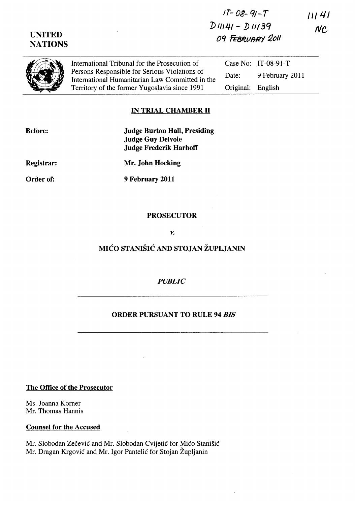$1T - 08 - 91 - T$  $11141$  $DIII4I - DIII39$ **NC** 09 FEBRUARY 2011

**UNITED** 

**NATIONS** 

International Tribunal for the Prosecution of Persons Responsible for Serious Violations of International Humanitarian Law Committed in the Territory of the former Yugoslavia since 1991

Case No: IT-08-91-T Date: 9 February 2011 Original: English

## **IN TRIAL CHAMBER II**

**Before:** 

**Judge Burton Hall, Presiding Judge Guy Delvoie Judge Frederik Harhoff** 

Registrar:

Mr. John Hocking

Order of:

9 February 2011

#### **PROSECUTOR**

**V.** 

# MIĆO STANIŠIĆ AND STOJAN ŽUPLJANIN

## **PUBLIC**

# **ORDER PURSUANT TO RULE 94 BIS**

## **The Office of the Prosecutor**

Ms. Joanna Korner Mr. Thomas Hannis

#### **Counsel for the Accused**

Mr. Slobodan Zečević and Mr. Slobodan Cvijetić for Mićo Stanišić Mr. Dragan Krgović and Mr. Igor Pantelić for Stojan Župljanin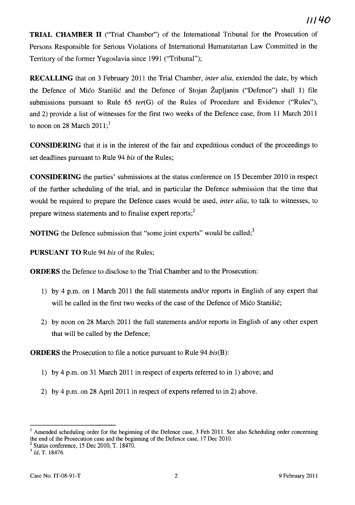**TRIAL CHAMBER II** ("Trial Chamber") of the International Tribunal for the Prosecution of Persons Responsible for Serious Violations of Intemational Humanitarian Law Committed in the Territory of the former Yugoslavia since 1991 ("Tribunal");

**RECALLING** that on 3 February 2011 the Trial Chamber, *inter alia,* extended the date, by which the Defence of Mica Stanisic and the Defence of Stojan Zupljanin ("Defence") shall 1) file submissions pursuant to Rule 65 *ter(G)* of the Rules of Procedure and Evidence ("Rules"), and 2) provide a list of witnesses for the first two weeks of the Defence case, from 11 March 2011 to noon on 28 March  $2011$ ;<sup>1</sup>

**CONSIDERING** that it is in the interest of the fair and expeditious conduct of the proceedings to set deadlines pursuant to Rule 94 *bis* of the Rules;

**CONSIDERING** the parties' submissions at the status conference on 15 December 2010 in respect of the further scheduling of the trial, and in particular the Defence submission that the time that would be required to prepare the Defence cases would be used, *inter alia,* to talk to witnesses, to prepare witness statements and to finalise expert reports;<sup>2</sup>

**NOTING** the Defence submission that "some joint experts" would be called;<sup>3</sup>

**PURSUANT TO** Rule 94 *bis* of the Rules;

**ORDERS** the Defence to disclose to the Trial Chamber and to the Prosecution:

- 1) by 4 p.m. on 1 March 2011 the full statements and/or reports in English of any expert that will be called in the first two weeks of the case of the Defence of Mico Stanisic;
- 2) by noon on 28 March 2011 the full statements and/or reports in English of any other expert that will be called by the Defence;

**ORDERS** the Prosecution to file a notice pursuant to Rule 94 *bis(B):* 

- 1) by 4 p.m. on 31 March 2011 in respect of experts referred to in 1) above; and
- 2) by 4 p.m. on 28 April 2011 in respect of experts referred to in 2) above.

<sup>&</sup>lt;sup>1</sup> Amended scheduling order for the beginning of the Defence case, 3 Feb 2011. See also Scheduling order concerning the end of the Prosecution case and the beginning of the Defence case, 17 Dec 2010.

 $2$  Status conference, 15 Dec 2010, T. 18470.

<sup>3</sup>*Id,* T. 18476.